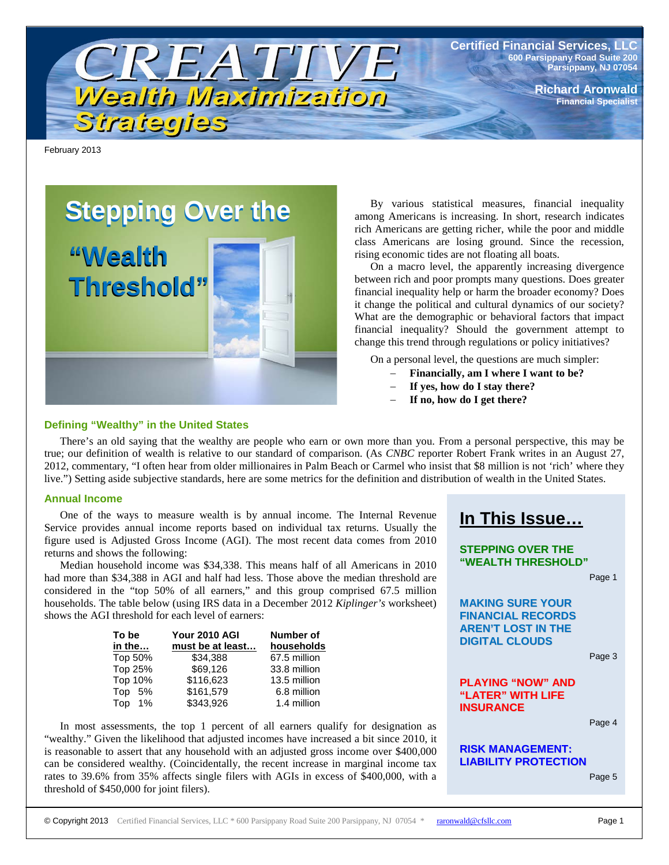

**Certified Financial Services, LLC 600 Parsippany Road Suite 200 Parsippany, NJ 07054**

> **Richard Aronwald Financial Specialist**

February 2013

# **Stepping Over the**

**"Wealth "Wealth Threshold" Threshold"**

## **Defining "Wealthy" in the United States**

By various statistical measures, financial inequality among Americans is increasing. In short, research indicates rich Americans are getting richer, while the poor and middle class Americans are losing ground. Since the recession, rising economic tides are not floating all boats.

On a macro level, the apparently increasing divergence between rich and poor prompts many questions. Does greater financial inequality help or harm the broader economy? Does it change the political and cultural dynamics of our society? What are the demographic or behavioral factors that impact financial inequality? Should the government attempt to change this trend through regulations or policy initiatives?

On a personal level, the questions are much simpler:

- − **Financially, am I where I want to be?**
- − **If yes, how do I stay there?**
- − **If no, how do I get there?**

There's an old saying that the wealthy are people who earn or own more than you. From a personal perspective, this may be true; our definition of wealth is relative to our standard of comparison. (As *CNBC* reporter Robert Frank writes in an August 27, 2012, commentary, "I often hear from older millionaires in Palm Beach or Carmel who insist that \$8 million is not 'rich' where they live.") Setting aside subjective standards, here are some metrics for the definition and distribution of wealth in the United States.

### **Annual Income**

One of the ways to measure wealth is by annual income. The Internal Revenue Service provides annual income reports based on individual tax returns. Usually the figure used is Adjusted Gross Income (AGI). The most recent data comes from 2010 returns and shows the following:

Median household income was \$34,338. This means half of all Americans in 2010 had more than \$34,388 in AGI and half had less. Those above the median threshold are considered in the "top 50% of all earners," and this group comprised 67.5 million households. The table below (using IRS data in a December 2012 *Kiplinger's* worksheet) shows the AGI threshold for each level of earners:

| To be   | Your 2010 AGI    | Number of    |
|---------|------------------|--------------|
| in the  | must be at least | households   |
| Top 50% | \$34.388         | 67.5 million |
| Top 25% | \$69.126         | 33.8 million |
| Top 10% | \$116.623        | 13.5 million |
| Top 5%  | \$161,579        | 6.8 million  |
| Top 1%  | \$343,926        | 1.4 million  |

In most assessments, the top 1 percent of all earners qualify for designation as "wealthy." Given the likelihood that adjusted incomes have increased a bit since 2010, it is reasonable to assert that any household with an adjusted gross income over \$400,000 can be considered wealthy. (Coincidentally, the recent increase in marginal income tax rates to 39.6% from 35% affects single filers with AGIs in excess of \$400,000, with a threshold of \$450,000 for joint filers).



**STEPPING OVER THE "WEALTH THRESHOLD"**

Page 1

**MAKING SURE YOUR FINANCIAL RECORDS AREN'T LOST IN THE DIGITAL CLOUDS**

Page 3

# **PLAYING "NOW" AND "LATER" WITH LIFE INSURANCE**

Page 4

# **RISK MANAGEMENT: LIABILITY PROTECTION**

Page 5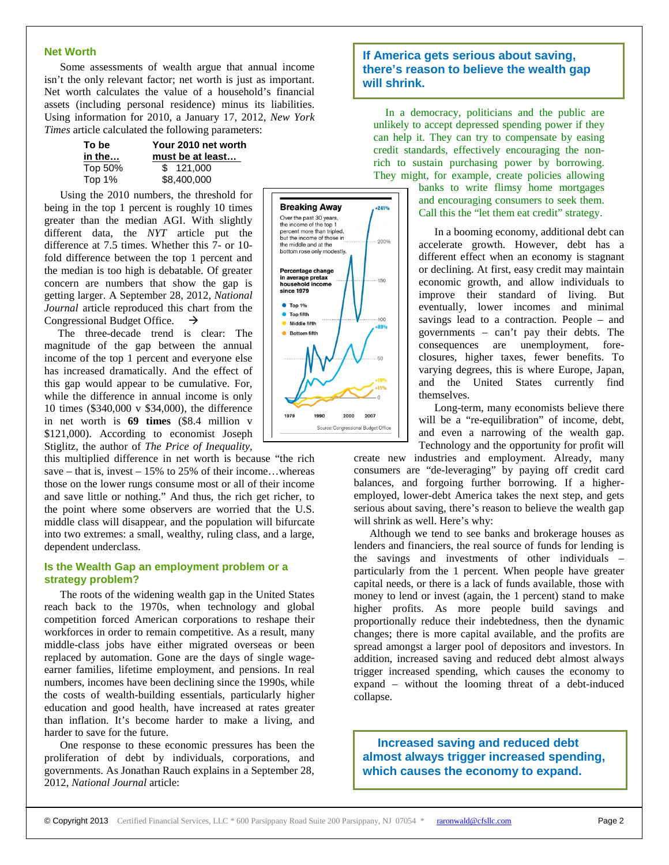#### **Net Worth**

Some assessments of wealth argue that annual income isn't the only relevant factor; net worth is just as important. Net worth calculates the value of a household's financial assets (including personal residence) minus its liabilities. Using information for 2010, a January 17, 2012, *New York Times* article calculated the following parameters:

| To be   | Your 2010 net worth |  |
|---------|---------------------|--|
| in the… | must be at least    |  |
| Top 50% | \$121,000           |  |
| Top 1%  | \$8,400,000         |  |

Using the 2010 numbers, the threshold for being in the top 1 percent is roughly 10 times greater than the median AGI. With slightly different data, the *NYT* article put the difference at 7.5 times. Whether this 7- or 10 fold difference between the top 1 percent and the median is too high is debatable. Of greater concern are numbers that show the gap is getting larger. A September 28, 2012, *National Journal* article reproduced this chart from the Congressional Budget Office.  $\rightarrow$ 

 The three-decade trend is clear: The magnitude of the gap between the annual income of the top 1 percent and everyone else has increased dramatically. And the effect of this gap would appear to be cumulative. For, while the difference in annual income is only 10 times (\$340,000 v \$34,000), the difference in net worth is **69 times** (\$8.4 million v \$121,000). According to economist Joseph Stiglitz, the author of *The Price of Inequality*,

this multiplied difference in net worth is because "the rich save – that is, invest –  $15\%$  to 25% of their income...whereas those on the lower rungs consume most or all of their income and save little or nothing." And thus, the rich get richer, to the point where some observers are worried that the U.S. middle class will disappear, and the population will bifurcate into two extremes: a small, wealthy, ruling class, and a large, dependent underclass.

## **Is the Wealth Gap an employment problem or a strategy problem?**

The roots of the widening wealth gap in the United States reach back to the 1970s, when technology and global competition forced American corporations to reshape their workforces in order to remain competitive. As a result, many middle-class jobs have either migrated overseas or been replaced by automation. Gone are the days of single wageearner families, lifetime employment, and pensions. In real numbers, incomes have been declining since the 1990s, while the costs of wealth-building essentials, particularly higher education and good health, have increased at rates greater than inflation. It's become harder to make a living, and harder to save for the future.

One response to these economic pressures has been the proliferation of debt by individuals, corporations, and governments. As Jonathan Rauch explains in a September 28, 2012, *National Journal* article:



# **If America gets serious about saving, there's reason to believe the wealth gap will shrink.**

In a democracy, politicians and the public are unlikely to accept depressed spending power if they can help it. They can try to compensate by easing credit standards, effectively encouraging the nonrich to sustain purchasing power by borrowing. They might, for example, create policies allowing

> banks to write flimsy home mortgages and encouraging consumers to seek them. Call this the "let them eat credit" strategy.

In a booming economy, additional debt can accelerate growth. However, debt has a different effect when an economy is stagnant or declining. At first, easy credit may maintain economic growth, and allow individuals to improve their standard of living. But eventually, lower incomes and minimal savings lead to a contraction. People – and governments – can't pay their debts. The consequences are unemployment, foreclosures, higher taxes, fewer benefits. To varying degrees, this is where Europe, Japan, and the United States currently find themselves.

Long-term, many economists believe there will be a "re-equilibration" of income, debt, and even a narrowing of the wealth gap. Technology and the opportunity for profit will

create new industries and employment. Already, many consumers are "de-leveraging" by paying off credit card balances, and forgoing further borrowing. If a higheremployed, lower-debt America takes the next step, and gets serious about saving, there's reason to believe the wealth gap will shrink as well. Here's why:

Although we tend to see banks and brokerage houses as lenders and financiers, the real source of funds for lending is the savings and investments of other individuals – particularly from the 1 percent. When people have greater capital needs, or there is a lack of funds available, those with money to lend or invest (again, the 1 percent) stand to make higher profits. As more people build savings and proportionally reduce their indebtedness, then the dynamic changes; there is more capital available, and the profits are spread amongst a larger pool of depositors and investors. In addition, increased saving and reduced debt almost always trigger increased spending, which causes the economy to expand – without the looming threat of a debt-induced collapse.

**Increased saving and reduced debt almost always trigger increased spending, which causes the economy to expand.**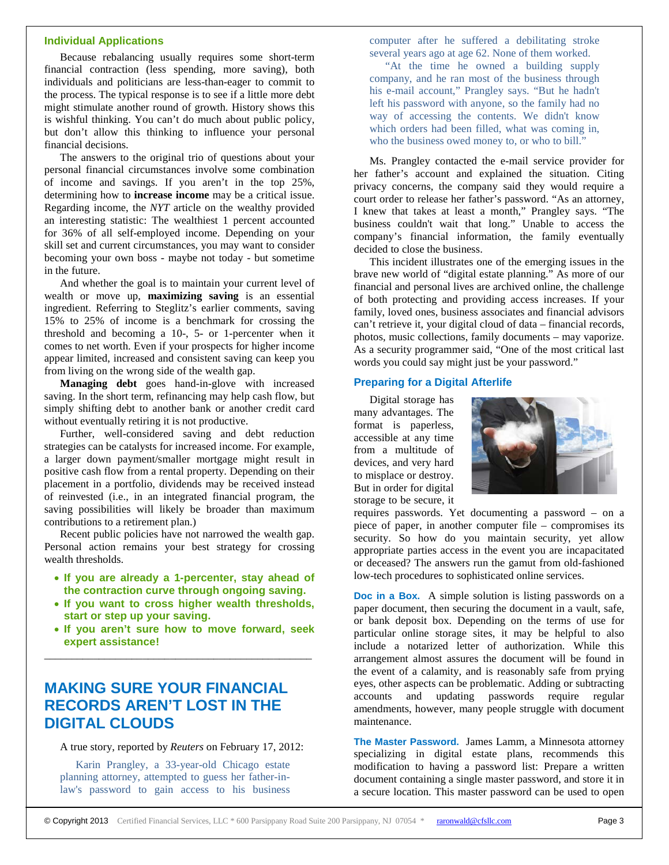#### **Individual Applications**

Because rebalancing usually requires some short-term financial contraction (less spending, more saving), both individuals and politicians are less-than-eager to commit to the process. The typical response is to see if a little more debt might stimulate another round of growth. History shows this is wishful thinking. You can't do much about public policy, but don't allow this thinking to influence your personal financial decisions.

The answers to the original trio of questions about your personal financial circumstances involve some combination of income and savings. If you aren't in the top 25%, determining how to **increase income** may be a critical issue. Regarding income, the *NYT* article on the wealthy provided an interesting statistic: The wealthiest 1 percent accounted for 36% of all self-employed income. Depending on your skill set and current circumstances, you may want to consider becoming your own boss - maybe not today - but sometime in the future.

And whether the goal is to maintain your current level of wealth or move up, **maximizing saving** is an essential ingredient. Referring to Steglitz's earlier comments, saving 15% to 25% of income is a benchmark for crossing the threshold and becoming a 10-, 5- or 1-percenter when it comes to net worth. Even if your prospects for higher income appear limited, increased and consistent saving can keep you from living on the wrong side of the wealth gap.

**Managing debt** goes hand-in-glove with increased saving. In the short term, refinancing may help cash flow, but simply shifting debt to another bank or another credit card without eventually retiring it is not productive.

Further, well-considered saving and debt reduction strategies can be catalysts for increased income. For example, a larger down payment/smaller mortgage might result in positive cash flow from a rental property. Depending on their placement in a portfolio, dividends may be received instead of reinvested (i.e., in an integrated financial program, the saving possibilities will likely be broader than maximum contributions to a retirement plan.)

Recent public policies have not narrowed the wealth gap. Personal action remains your best strategy for crossing wealth thresholds.

- **If you are already a 1-percenter, stay ahead of the contraction curve through ongoing saving.**
- **If you want to cross higher wealth thresholds, start or step up your saving.**
- **If you aren't sure how to move forward, seek expert assistance!**

\_\_\_\_\_\_\_\_\_\_\_\_\_\_\_\_\_\_\_\_\_\_\_\_\_\_\_\_\_\_\_\_\_\_\_\_\_\_\_\_\_\_\_\_\_\_\_\_\_

# **MAKING SURE YOUR FINANCIAL RECORDS AREN'T LOST IN THE DIGITAL CLOUDS**

#### A true story, reported by *Reuters* on February 17, 2012:

Karin Prangley, a 33-year-old Chicago estate planning attorney, attempted to guess her father-inlaw's password to gain access to his business computer after he suffered a debilitating stroke several years ago at age 62. None of them worked.

"At the time he owned a building supply company, and he ran most of the business through his e-mail account," Prangley says. "But he hadn't left his password with anyone, so the family had no way of accessing the contents. We didn't know which orders had been filled, what was coming in, who the business owed money to, or who to bill."

Ms. Prangley contacted the e-mail service provider for her father's account and explained the situation. Citing privacy concerns, the company said they would require a court order to release her father's password. "As an attorney, I knew that takes at least a month," Prangley says. "The business couldn't wait that long." Unable to access the company's financial information, the family eventually decided to close the business.

This incident illustrates one of the emerging issues in the brave new world of "digital estate planning." As more of our financial and personal lives are archived online, the challenge of both protecting and providing access increases. If your family, loved ones, business associates and financial advisors can't retrieve it, your digital cloud of data – financial records, photos, music collections, family documents – may vaporize. As a security programmer said, "One of the most critical last words you could say might just be your password."

# **Preparing for a Digital Afterlife**

Digital storage has many advantages. The format is paperless, accessible at any time from a multitude of devices, and very hard to misplace or destroy. But in order for digital storage to be secure, it



requires passwords. Yet documenting a password – on a piece of paper, in another computer file – compromises its security. So how do you maintain security, yet allow appropriate parties access in the event you are incapacitated or deceased? The answers run the gamut from old-fashioned low-tech procedures to sophisticated online services.

**Doc in a Box.** A simple solution is listing passwords on a paper document, then securing the document in a vault, safe, or bank deposit box. Depending on the terms of use for particular online storage sites, it may be helpful to also include a notarized letter of authorization. While this arrangement almost assures the document will be found in the event of a calamity, and is reasonably safe from prying eyes, other aspects can be problematic. Adding or subtracting accounts and updating passwords require regular amendments, however, many people struggle with document maintenance.

**The Master Password.** James Lamm, a Minnesota attorney specializing in digital estate plans, recommends this modification to having a password list: Prepare a written document containing a single master password, and store it in a secure location. This master password can be used to open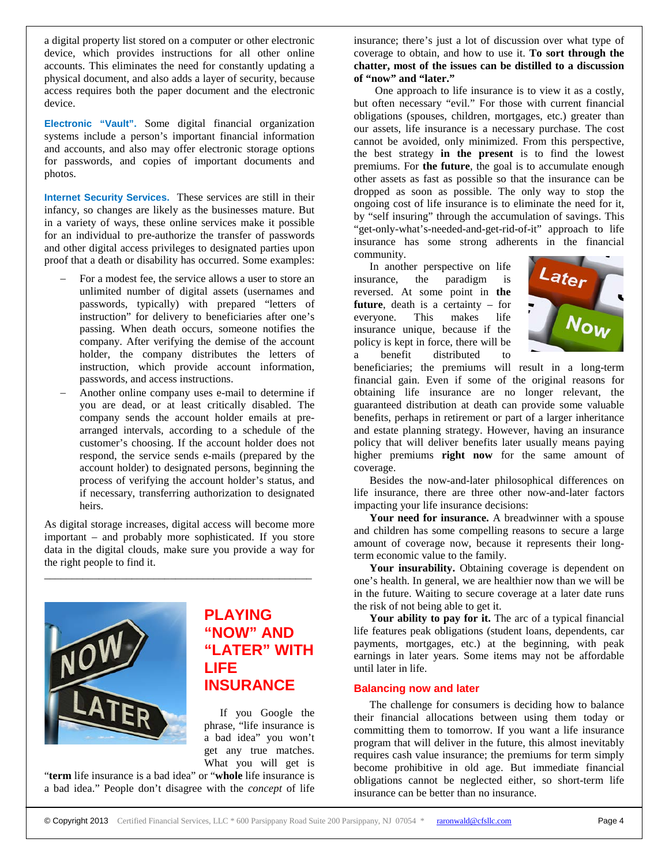a digital property list stored on a computer or other electronic device, which provides instructions for all other online accounts. This eliminates the need for constantly updating a physical document, and also adds a layer of security, because access requires both the paper document and the electronic device.

**Electronic "Vault".** Some digital financial organization systems include a person's important financial information and accounts, and also may offer electronic storage options for passwords, and copies of important documents and photos.

**Internet Security Services.** These services are still in their infancy, so changes are likely as the businesses mature. But in a variety of ways, these online services make it possible for an individual to pre-authorize the transfer of passwords and other digital access privileges to designated parties upon proof that a death or disability has occurred. Some examples:

- For a modest fee, the service allows a user to store an unlimited number of digital assets (usernames and passwords, typically) with prepared "letters of instruction" for delivery to beneficiaries after one's passing. When death occurs, someone notifies the company. After verifying the demise of the account holder, the company distributes the letters of instruction, which provide account information, passwords, and access instructions.
- Another online company uses e-mail to determine if you are dead, or at least critically disabled. The company sends the account holder emails at prearranged intervals, according to a schedule of the customer's choosing. If the account holder does not respond, the service sends e-mails (prepared by the account holder) to designated persons, beginning the process of verifying the account holder's status, and if necessary, transferring authorization to designated heirs.

As digital storage increases, digital access will become more important – and probably more sophisticated. If you store data in the digital clouds, make sure you provide a way for the right people to find it.

\_\_\_\_\_\_\_\_\_\_\_\_\_\_\_\_\_\_\_\_\_\_\_\_\_\_\_\_\_\_\_\_\_\_\_\_\_\_\_\_\_\_\_\_\_\_\_\_\_



# **PLAYING "NOW" AND "LATER" WITH LIFE INSURANCE**

If you Google the phrase, "life insurance is a bad idea" you won't get any true matches. What you will get is

"**term** life insurance is a bad idea" or "**whole** life insurance is a bad idea." People don't disagree with the *concept* of life insurance; there's just a lot of discussion over what type of coverage to obtain, and how to use it. **To sort through the chatter, most of the issues can be distilled to a discussion of "now" and "later."**

 One approach to life insurance is to view it as a costly, but often necessary "evil." For those with current financial obligations (spouses, children, mortgages, etc.) greater than our assets, life insurance is a necessary purchase. The cost cannot be avoided, only minimized. From this perspective, the best strategy **in the present** is to find the lowest premiums. For **the future**, the goal is to accumulate enough other assets as fast as possible so that the insurance can be dropped as soon as possible. The only way to stop the ongoing cost of life insurance is to eliminate the need for it, by "self insuring" through the accumulation of savings. This "get-only-what's-needed-and-get-rid-of-it" approach to life insurance has some strong adherents in the financial community.

In another perspective on life insurance, the paradigm is reversed. At some point in **the future**, death is a certainty – for everyone. This makes life insurance unique, because if the policy is kept in force, there will be a benefit distributed to



beneficiaries; the premiums will result in a long-term financial gain. Even if some of the original reasons for obtaining life insurance are no longer relevant, the guaranteed distribution at death can provide some valuable benefits, perhaps in retirement or part of a larger inheritance and estate planning strategy. However, having an insurance policy that will deliver benefits later usually means paying higher premiums **right now** for the same amount of coverage.

Besides the now-and-later philosophical differences on life insurance, there are three other now-and-later factors impacting your life insurance decisions:

**Your need for insurance.** A breadwinner with a spouse and children has some compelling reasons to secure a large amount of coverage now, because it represents their longterm economic value to the family.

**Your insurability.** Obtaining coverage is dependent on one's health. In general, we are healthier now than we will be in the future. Waiting to secure coverage at a later date runs the risk of not being able to get it.

**Your ability to pay for it.** The arc of a typical financial life features peak obligations (student loans, dependents, car payments, mortgages, etc.) at the beginning, with peak earnings in later years. Some items may not be affordable until later in life.

# **Balancing now and later**

The challenge for consumers is deciding how to balance their financial allocations between using them today or committing them to tomorrow. If you want a life insurance program that will deliver in the future, this almost inevitably requires cash value insurance; the premiums for term simply become prohibitive in old age. But immediate financial obligations cannot be neglected either, so short-term life insurance can be better than no insurance.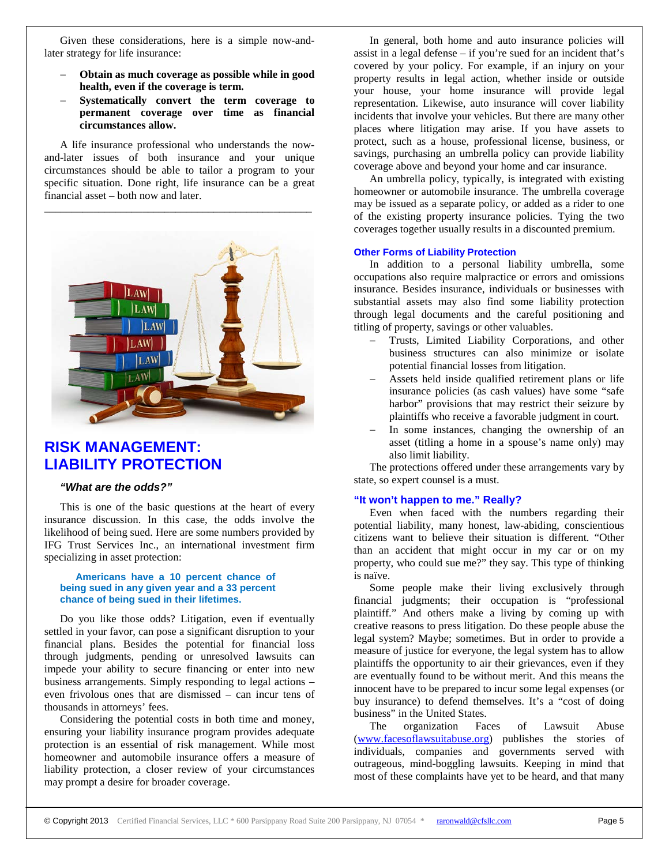Given these considerations, here is a simple now-andlater strategy for life insurance:

- − **Obtain as much coverage as possible while in good health, even if the coverage is term.**
- − **Systematically convert the term coverage to permanent coverage over time as financial circumstances allow.**

A life insurance professional who understands the nowand-later issues of both insurance and your unique circumstances should be able to tailor a program to your specific situation. Done right, life insurance can be a great financial asset – both now and later.



# **RISK MANAGEMENT: LIABILITY PROTECTION**

# *"What are the odds?"*

This is one of the basic questions at the heart of every insurance discussion. In this case, the odds involve the likelihood of being sued. Here are some numbers provided by IFG Trust Services Inc., an international investment firm specializing in asset protection:

## **Americans have a 10 percent chance of being sued in any given year and a 33 percent chance of being sued in their lifetimes.**

Do you like those odds? Litigation, even if eventually settled in your favor, can pose a significant disruption to your financial plans. Besides the potential for financial loss through judgments, pending or unresolved lawsuits can impede your ability to secure financing or enter into new business arrangements. Simply responding to legal actions – even frivolous ones that are dismissed – can incur tens of thousands in attorneys' fees.

Considering the potential costs in both time and money, ensuring your liability insurance program provides adequate protection is an essential of risk management. While most homeowner and automobile insurance offers a measure of liability protection, a closer review of your circumstances may prompt a desire for broader coverage.

In general, both home and auto insurance policies will assist in a legal defense – if you're sued for an incident that's covered by your policy. For example, if an injury on your property results in legal action, whether inside or outside your house, your home insurance will provide legal representation. Likewise, auto insurance will cover liability incidents that involve your vehicles. But there are many other places where litigation may arise. If you have assets to protect, such as a house, professional license, business, or savings, purchasing an umbrella policy can provide liability coverage above and beyond your home and car insurance.

An umbrella policy, typically, is integrated with existing homeowner or automobile insurance. The umbrella coverage may be issued as a separate policy, or added as a rider to one of the existing property insurance policies. Tying the two coverages together usually results in a discounted premium.

#### **Other Forms of Liability Protection**

In addition to a personal liability umbrella, some occupations also require malpractice or errors and omissions insurance. Besides insurance, individuals or businesses with substantial assets may also find some liability protection through legal documents and the careful positioning and titling of property, savings or other valuables.

- Trusts, Limited Liability Corporations, and other business structures can also minimize or isolate potential financial losses from litigation.
- Assets held inside qualified retirement plans or life insurance policies (as cash values) have some "safe harbor" provisions that may restrict their seizure by plaintiffs who receive a favorable judgment in court.
- In some instances, changing the ownership of an asset (titling a home in a spouse's name only) may also limit liability.

The protections offered under these arrangements vary by state, so expert counsel is a must.

#### **"It won't happen to me." Really?**

Even when faced with the numbers regarding their potential liability, many honest, law-abiding, conscientious citizens want to believe their situation is different. "Other than an accident that might occur in my car or on my property, who could sue me?" they say. This type of thinking is naïve.

Some people make their living exclusively through financial judgments; their occupation is "professional plaintiff." And others make a living by coming up with creative reasons to press litigation. Do these people abuse the legal system? Maybe; sometimes. But in order to provide a measure of justice for everyone, the legal system has to allow plaintiffs the opportunity to air their grievances, even if they are eventually found to be without merit. And this means the innocent have to be prepared to incur some legal expenses (or buy insurance) to defend themselves. It's a "cost of doing business" in the United States.

The organization Faces of Lawsuit Abuse [\(www.facesoflawsuitabuse.org\)](http://www.facesoflawsuitabuse.org/) publishes the stories of individuals, companies and governments served with outrageous, mind-boggling lawsuits. Keeping in mind that most of these complaints have yet to be heard, and that many